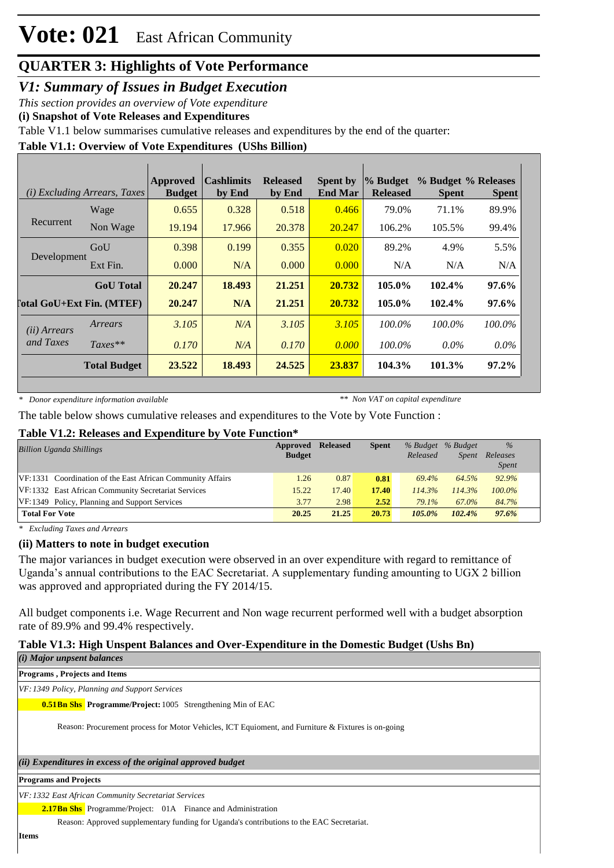### **QUARTER 3: Highlights of Vote Performance**

*V1: Summary of Issues in Budget Execution*

*This section provides an overview of Vote expenditure* 

**(i) Snapshot of Vote Releases and Expenditures**

Table V1.1 below summarises cumulative releases and expenditures by the end of the quarter:

#### **Table V1.1: Overview of Vote Expenditures (UShs Billion)**

| <i>(i)</i> Excluding Arrears, Taxes |                            | <b>Approved</b><br><b>Budget</b> | <b>Cashlimits</b><br>by End | <b>Released</b><br>by End | <b>Spent by</b><br><b>End Mar</b> | % Budget<br><b>Released</b> | % Budget % Releases<br><b>Spent</b> | <b>Spent</b> |
|-------------------------------------|----------------------------|----------------------------------|-----------------------------|---------------------------|-----------------------------------|-----------------------------|-------------------------------------|--------------|
|                                     | Wage                       | 0.655                            | 0.328                       | 0.518                     | 0.466                             | 79.0%                       | 71.1%                               | 89.9%        |
| Recurrent                           | Non Wage                   | 19.194                           | 17.966                      | 20.378                    | 20.247                            | 106.2%                      | 105.5%                              | 99.4%        |
| Development                         | GoU                        | 0.398                            | 0.199                       | 0.355                     | 0.020                             | 89.2%                       | 4.9%                                | 5.5%         |
|                                     | Ext Fin.                   | 0.000                            | N/A                         | 0.000                     | 0.000                             | N/A                         | N/A                                 | N/A          |
|                                     | <b>GoU</b> Total           | 20.247                           | 18.493                      | 21.251                    | 20.732                            | 105.0%                      | 102.4%                              | 97.6%        |
|                                     | [`otal GoU+Ext Fin. (MTEF) | 20.247                           | N/A                         | 21.251                    | 20.732                            | 105.0%                      | 102.4%                              | 97.6%        |
| ( <i>ii</i> ) Arrears               | Arrears                    | 3.105                            | N/A                         | 3.105                     | 3.105                             | 100.0%                      | $100.0\%$                           | 100.0%       |
| and Taxes                           | $Taxes**$                  | 0.170                            | N/A                         | 0.170                     | 0.000                             | $100.0\%$                   | $0.0\%$                             | $0.0\%$      |
|                                     | <b>Total Budget</b>        | 23.522                           | 18.493                      | 24.525                    | 23.837                            | 104.3%                      | 101.3%                              | 97.2%        |

*\* Donor expenditure information available*

*\*\* Non VAT on capital expenditure*

The table below shows cumulative releases and expenditures to the Vote by Vote Function :

#### **Table V1.2: Releases and Expenditure by Vote Function\***

| <b>Billion Uganda Shillings</b>                            | Approved<br><b>Budget</b> | <b>Released</b> | <b>Spent</b> | % Budget % Budget<br>Released | <i>Spent</i> | $\%$<br>Releases<br><b>Spent</b> |
|------------------------------------------------------------|---------------------------|-----------------|--------------|-------------------------------|--------------|----------------------------------|
| VF:1331 Coordination of the East African Community Affairs | 1.26                      | 0.87            | 0.81         | 69.4%                         | 64.5%        | 92.9%                            |
| VF:1332 East African Community Secretariat Services        | 15.22                     | 17.40           | 17.40        | 114.3%                        | 114.3%       | $100.0\%$                        |
| VF:1349 Policy, Planning and Support Services              | 3.77                      | 2.98            | 2.52         | 79.1%                         | 67.0%        | 84.7%                            |
| <b>Total For Vote</b>                                      | 20.25                     | 21.25           | 20.73        | $105.0\%$                     | 102.4%       | 97.6%                            |

*\* Excluding Taxes and Arrears*

#### **(ii) Matters to note in budget execution**

The major variances in budget execution were observed in an over expenditure with regard to remittance of Uganda's annual contributions to the EAC Secretariat. A supplementary funding amounting to UGX 2 billion was approved and appropriated during the FY 2014/15.

All budget components i.e. Wage Recurrent and Non wage recurrent performed well with a budget absorption rate of 89.9% and 99.4% respectively.

### **Table V1.3: High Unspent Balances and Over-Expenditure in the Domestic Budget (Ushs Bn)**

*(i) Major unpsent balances*

**Programs , Projects and Items**

*VF:1349 Policy, Planning and Support Services*

**0.51 Bn Shs** Programme/Project: 1005 Strengthening Min of EAC

Reason: Procurement process for Motor Vehicles, ICT Equioment, and Furniture & Fixtures is on-going

#### *(ii) Expenditures in excess of the original approved budget*

**Programs and Projects**

*VF:1332 East African Community Secretariat Services*

2.17Bn Shs Programme/Project: 01A Finance and Administration

Reason: Approved supplementary funding for Uganda's contributions to the EAC Secretariat.

**Items**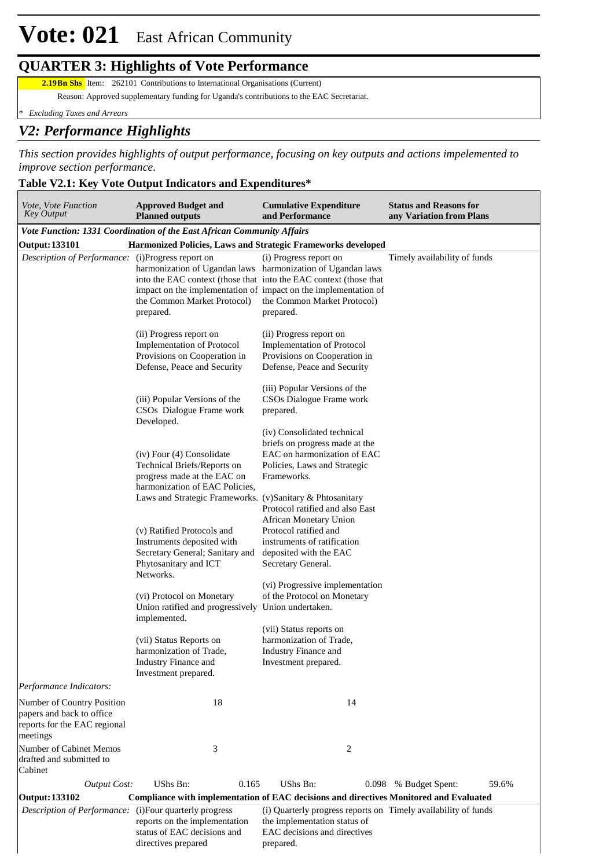#### **QUARTER 3: Highlights of Vote Performance**

**2.19Bn Shs** Item: 262101 Contributions to International Organisations (Current)

Reason: Approved supplementary funding for Uganda's contributions to the EAC Secretariat.

*\* Excluding Taxes and Arrears*

#### *V2: Performance Highlights*

*This section provides highlights of output performance, focusing on key outputs and actions impelemented to improve section performance.*

#### **Table V2.1: Key Vote Output Indicators and Expenditures\***

| Vote, Vote Function<br><b>Approved Budget and</b><br>Key Output<br><b>Planned outputs</b>           |                                                                                                                                                                                        | <b>Cumulative Expenditure</b><br><b>Status and Reasons for</b><br>and Performance<br>any Variation from Plans                                                     |                              |  |  |
|-----------------------------------------------------------------------------------------------------|----------------------------------------------------------------------------------------------------------------------------------------------------------------------------------------|-------------------------------------------------------------------------------------------------------------------------------------------------------------------|------------------------------|--|--|
|                                                                                                     | Vote Function: 1331 Coordination of the East African Community Affairs                                                                                                                 |                                                                                                                                                                   |                              |  |  |
| <b>Output: 133101</b>                                                                               | Harmonized Policies, Laws and Strategic Frameworks developed                                                                                                                           |                                                                                                                                                                   |                              |  |  |
| Description of Performance: (i)Progress report on                                                   | harmonization of Ugandan laws harmonization of Ugandan laws<br>into the EAC context (those that into the EAC context (those that<br>the Common Market Protocol)<br>prepared.           | (i) Progress report on<br>impact on the implementation of impact on the implementation of<br>the Common Market Protocol)<br>prepared.                             | Timely availability of funds |  |  |
|                                                                                                     | (ii) Progress report on<br><b>Implementation of Protocol</b><br>Provisions on Cooperation in<br>Defense, Peace and Security                                                            | (ii) Progress report on<br><b>Implementation of Protocol</b><br>Provisions on Cooperation in<br>Defense, Peace and Security                                       |                              |  |  |
|                                                                                                     | (iii) Popular Versions of the<br>CSOs Dialogue Frame work<br>Developed.                                                                                                                | (iii) Popular Versions of the<br>CSOs Dialogue Frame work<br>prepared.<br>(iv) Consolidated technical                                                             |                              |  |  |
|                                                                                                     | (iv) Four (4) Consolidate<br>Technical Briefs/Reports on<br>progress made at the EAC on<br>harmonization of EAC Policies,<br>Laws and Strategic Frameworks. (v)Sanitary & Phtosanitary | briefs on progress made at the<br>EAC on harmonization of EAC<br>Policies, Laws and Strategic<br>Frameworks.                                                      |                              |  |  |
|                                                                                                     | (v) Ratified Protocols and<br>Instruments deposited with<br>Secretary General; Sanitary and<br>Phytosanitary and ICT<br>Networks.                                                      | Protocol ratified and also East<br>African Monetary Union<br>Protocol ratified and<br>instruments of ratification<br>deposited with the EAC<br>Secretary General. |                              |  |  |
|                                                                                                     | (vi) Protocol on Monetary<br>Union ratified and progressively Union undertaken.<br>implemented.                                                                                        | (vi) Progressive implementation<br>of the Protocol on Monetary                                                                                                    |                              |  |  |
|                                                                                                     | (vii) Status Reports on<br>harmonization of Trade.<br>Industry Finance and<br>Investment prepared.                                                                                     | (vii) Status reports on<br>harmonization of Trade,<br>Industry Finance and<br>Investment prepared.                                                                |                              |  |  |
| Performance Indicators:                                                                             |                                                                                                                                                                                        |                                                                                                                                                                   |                              |  |  |
| Number of Country Position<br>papers and back to office<br>reports for the EAC regional<br>meetings | 18                                                                                                                                                                                     | 14                                                                                                                                                                |                              |  |  |
| Number of Cabinet Memos<br>drafted and submitted to<br>Cabinet                                      | 3                                                                                                                                                                                      | 2                                                                                                                                                                 |                              |  |  |
| <b>Output Cost:</b>                                                                                 | UShs Bn:<br>0.165                                                                                                                                                                      | UShs Bn:<br>0.098                                                                                                                                                 | % Budget Spent:<br>59.6%     |  |  |
| <b>Output: 133102</b>                                                                               | <b>Compliance with implementation of EAC decisions and directives Monitored and Evaluated</b>                                                                                          |                                                                                                                                                                   |                              |  |  |
| Description of Performance: (i)Four quarterly progress                                              | reports on the implementation<br>status of EAC decisions and<br>directives prepared                                                                                                    | (i) Quarterly progress reports on Timely availability of funds<br>the implementation status of<br>EAC decisions and directives<br>prepared.                       |                              |  |  |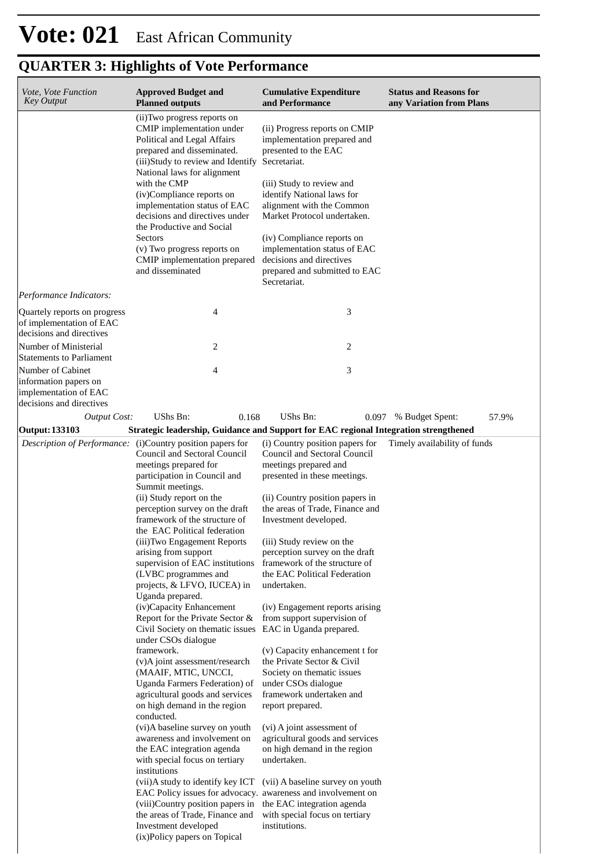| Vote, Vote Function<br><b>Key Output</b>                                                        | <b>Approved Budget and</b><br><b>Planned outputs</b>                                                                                                                                                                                                                                                                                                                                                                                                                                                                                                                                                                                                                                                                                                                                                                                                                                                                                                                                                                                                                                                                                                                                                                                       | <b>Cumulative Expenditure</b><br>and Performance                                                                                                                                                                                                                                                                                                                                                                                                                                                                                                                                                                                                                                                                                                                                    | <b>Status and Reasons for</b><br>any Variation from Plans |
|-------------------------------------------------------------------------------------------------|--------------------------------------------------------------------------------------------------------------------------------------------------------------------------------------------------------------------------------------------------------------------------------------------------------------------------------------------------------------------------------------------------------------------------------------------------------------------------------------------------------------------------------------------------------------------------------------------------------------------------------------------------------------------------------------------------------------------------------------------------------------------------------------------------------------------------------------------------------------------------------------------------------------------------------------------------------------------------------------------------------------------------------------------------------------------------------------------------------------------------------------------------------------------------------------------------------------------------------------------|-------------------------------------------------------------------------------------------------------------------------------------------------------------------------------------------------------------------------------------------------------------------------------------------------------------------------------------------------------------------------------------------------------------------------------------------------------------------------------------------------------------------------------------------------------------------------------------------------------------------------------------------------------------------------------------------------------------------------------------------------------------------------------------|-----------------------------------------------------------|
|                                                                                                 | (ii) Two progress reports on<br>CMIP implementation under<br>Political and Legal Affairs<br>prepared and disseminated.<br>(iii)Study to review and Identify<br>National laws for alignment<br>with the CMP<br>(iv)Compliance reports on<br>implementation status of EAC<br>decisions and directives under<br>the Productive and Social<br>Sectors                                                                                                                                                                                                                                                                                                                                                                                                                                                                                                                                                                                                                                                                                                                                                                                                                                                                                          | (ii) Progress reports on CMIP<br>implementation prepared and<br>presented to the EAC<br>Secretariat.<br>(iii) Study to review and<br>identify National laws for<br>alignment with the Common<br>Market Protocol undertaken.<br>(iv) Compliance reports on                                                                                                                                                                                                                                                                                                                                                                                                                                                                                                                           |                                                           |
|                                                                                                 | (v) Two progress reports on<br>CMIP implementation prepared<br>and disseminated                                                                                                                                                                                                                                                                                                                                                                                                                                                                                                                                                                                                                                                                                                                                                                                                                                                                                                                                                                                                                                                                                                                                                            | implementation status of EAC<br>decisions and directives<br>prepared and submitted to EAC<br>Secretariat.                                                                                                                                                                                                                                                                                                                                                                                                                                                                                                                                                                                                                                                                           |                                                           |
| Performance Indicators:                                                                         |                                                                                                                                                                                                                                                                                                                                                                                                                                                                                                                                                                                                                                                                                                                                                                                                                                                                                                                                                                                                                                                                                                                                                                                                                                            |                                                                                                                                                                                                                                                                                                                                                                                                                                                                                                                                                                                                                                                                                                                                                                                     |                                                           |
| Quartely reports on progress<br>of implementation of EAC<br>decisions and directives            | 4                                                                                                                                                                                                                                                                                                                                                                                                                                                                                                                                                                                                                                                                                                                                                                                                                                                                                                                                                                                                                                                                                                                                                                                                                                          | 3                                                                                                                                                                                                                                                                                                                                                                                                                                                                                                                                                                                                                                                                                                                                                                                   |                                                           |
| Number of Ministerial<br><b>Statements to Parliament</b>                                        | 2                                                                                                                                                                                                                                                                                                                                                                                                                                                                                                                                                                                                                                                                                                                                                                                                                                                                                                                                                                                                                                                                                                                                                                                                                                          | 2                                                                                                                                                                                                                                                                                                                                                                                                                                                                                                                                                                                                                                                                                                                                                                                   |                                                           |
| Number of Cabinet<br>information papers on<br>implementation of EAC<br>decisions and directives | 4                                                                                                                                                                                                                                                                                                                                                                                                                                                                                                                                                                                                                                                                                                                                                                                                                                                                                                                                                                                                                                                                                                                                                                                                                                          | 3                                                                                                                                                                                                                                                                                                                                                                                                                                                                                                                                                                                                                                                                                                                                                                                   |                                                           |
| <b>Output Cost:</b>                                                                             | UShs Bn:<br>0.168                                                                                                                                                                                                                                                                                                                                                                                                                                                                                                                                                                                                                                                                                                                                                                                                                                                                                                                                                                                                                                                                                                                                                                                                                          | UShs Bn:<br>0.097                                                                                                                                                                                                                                                                                                                                                                                                                                                                                                                                                                                                                                                                                                                                                                   | 57.9%<br>% Budget Spent:                                  |
| <b>Output: 133103</b>                                                                           | Strategic leadership, Guidance and Support for EAC regional Integration strengthened                                                                                                                                                                                                                                                                                                                                                                                                                                                                                                                                                                                                                                                                                                                                                                                                                                                                                                                                                                                                                                                                                                                                                       |                                                                                                                                                                                                                                                                                                                                                                                                                                                                                                                                                                                                                                                                                                                                                                                     |                                                           |
| Description of Performance:                                                                     | (i) Country position papers for<br>Council and Sectoral Council<br>meetings prepared for<br>participation in Council and<br>Summit meetings.<br>(ii) Study report on the<br>perception survey on the draft<br>framework of the structure of<br>the EAC Political federation<br>(iii)Two Engagement Reports<br>arising from support<br>supervision of EAC institutions framework of the structure of<br>(LVBC programmes and<br>projects, & LFVO, IUCEA) in<br>Uganda prepared.<br>(iv)Capacity Enhancement<br>Report for the Private Sector &<br>Civil Society on thematic issues EAC in Uganda prepared.<br>under CSOs dialogue<br>framework.<br>(v)A joint assessment/research<br>(MAAIF, MTIC, UNCCI,<br>Uganda Farmers Federation) of<br>agricultural goods and services<br>on high demand in the region<br>conducted.<br>(vi)A baseline survey on youth<br>awareness and involvement on<br>the EAC integration agenda<br>with special focus on tertiary<br>institutions<br>(vii)A study to identify key ICT<br>EAC Policy issues for advocacy. awareness and involvement on<br>(viii)Country position papers in the EAC integration agenda<br>the areas of Trade, Finance and<br>Investment developed<br>(ix)Policy papers on Topical | (i) Country position papers for<br>Council and Sectoral Council<br>meetings prepared and<br>presented in these meetings.<br>(ii) Country position papers in<br>the areas of Trade, Finance and<br>Investment developed.<br>(iii) Study review on the<br>perception survey on the draft<br>the EAC Political Federation<br>undertaken.<br>(iv) Engagement reports arising<br>from support supervision of<br>(v) Capacity enhancement t for<br>the Private Sector & Civil<br>Society on thematic issues<br>under CSOs dialogue<br>framework undertaken and<br>report prepared.<br>(vi) A joint assessment of<br>agricultural goods and services<br>on high demand in the region<br>undertaken.<br>(vii) A baseline survey on youth<br>with special focus on tertiary<br>institutions. | Timely availability of funds                              |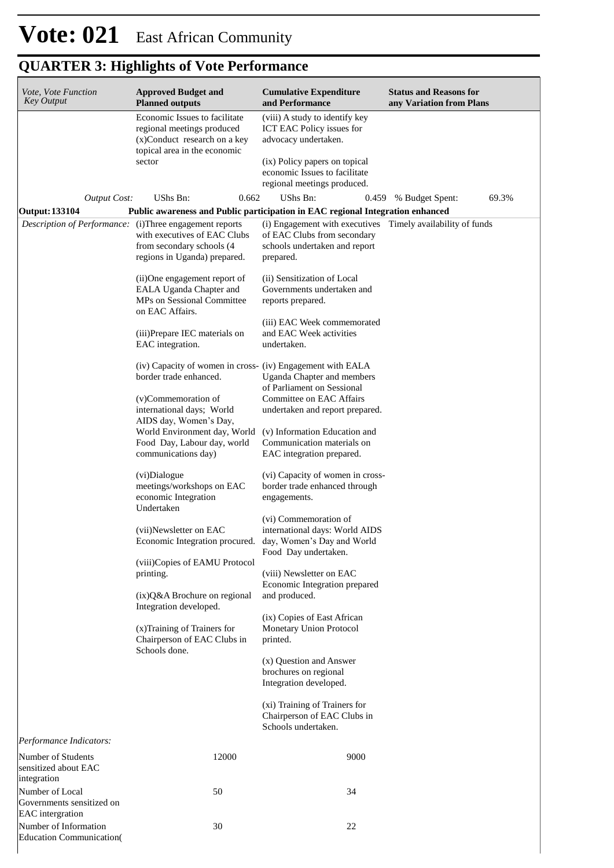| Vote, Vote Function<br><b>Key Output</b>                                         | <b>Approved Budget and</b><br><b>Planned outputs</b>                                                                        | <b>Cumulative Expenditure</b><br>and Performance                                                              | <b>Status and Reasons for</b><br>any Variation from Plans |  |  |  |
|----------------------------------------------------------------------------------|-----------------------------------------------------------------------------------------------------------------------------|---------------------------------------------------------------------------------------------------------------|-----------------------------------------------------------|--|--|--|
|                                                                                  | Economic Issues to facilitate<br>regional meetings produced<br>(x)Conduct research on a key<br>topical area in the economic | (viii) A study to identify key<br>ICT EAC Policy issues for<br>advocacy undertaken.                           |                                                           |  |  |  |
|                                                                                  | sector                                                                                                                      | (ix) Policy papers on topical<br>economic Issues to facilitate<br>regional meetings produced.                 |                                                           |  |  |  |
| Output Cost:                                                                     | UShs Bn:<br>0.662                                                                                                           | UShs Bn:                                                                                                      | 69.3%<br>0.459 % Budget Spent:                            |  |  |  |
| <b>Output: 133104</b><br>Description of Performance: (i)Three engagement reports | Public awareness and Public participation in EAC regional Integration enhanced                                              | (i) Engagement with executives Timely availability of funds                                                   |                                                           |  |  |  |
|                                                                                  | with executives of EAC Clubs<br>from secondary schools (4                                                                   | of EAC Clubs from secondary<br>schools undertaken and report                                                  |                                                           |  |  |  |
|                                                                                  | regions in Uganda) prepared.                                                                                                | prepared.                                                                                                     |                                                           |  |  |  |
|                                                                                  | (ii)One engagement report of<br>EALA Uganda Chapter and<br>MPs on Sessional Committee                                       | (ii) Sensitization of Local<br>Governments undertaken and<br>reports prepared.                                |                                                           |  |  |  |
|                                                                                  | on EAC Affairs.                                                                                                             |                                                                                                               |                                                           |  |  |  |
|                                                                                  | (iii)Prepare IEC materials on<br>EAC integration.                                                                           | (iii) EAC Week commemorated<br>and EAC Week activities<br>undertaken.                                         |                                                           |  |  |  |
|                                                                                  | (iv) Capacity of women in cross- (iv) Engagement with EALA<br>border trade enhanced.                                        | Uganda Chapter and members<br>of Parliament on Sessional                                                      |                                                           |  |  |  |
|                                                                                  | (v)Commemoration of<br>international days; World<br>AIDS day, Women's Day,                                                  | Committee on EAC Affairs<br>undertaken and report prepared.                                                   |                                                           |  |  |  |
|                                                                                  | World Environment day, World<br>Food Day, Labour day, world<br>communications day)                                          | (v) Information Education and<br>Communication materials on<br>EAC integration prepared.                      |                                                           |  |  |  |
|                                                                                  | (vi)Dialogue<br>meetings/workshops on EAC<br>economic Integration<br>Undertaken                                             | (vi) Capacity of women in cross-<br>border trade enhanced through<br>engagements.                             |                                                           |  |  |  |
|                                                                                  | (vii)Newsletter on EAC<br>Economic Integration procured.                                                                    | (vi) Commemoration of<br>international days: World AIDS<br>day, Women's Day and World<br>Food Day undertaken. |                                                           |  |  |  |
|                                                                                  | (viii)Copies of EAMU Protocol<br>printing.                                                                                  | (viii) Newsletter on EAC<br>Economic Integration prepared                                                     |                                                           |  |  |  |
|                                                                                  | $(ix)Q&A$ Brochure on regional<br>Integration developed.                                                                    | and produced.<br>(ix) Copies of East African                                                                  |                                                           |  |  |  |
|                                                                                  | (x) Training of Trainers for<br>Chairperson of EAC Clubs in<br>Schools done.                                                | Monetary Union Protocol<br>printed.                                                                           |                                                           |  |  |  |
|                                                                                  |                                                                                                                             | (x) Question and Answer<br>brochures on regional<br>Integration developed.                                    |                                                           |  |  |  |
|                                                                                  |                                                                                                                             | (xi) Training of Trainers for<br>Chairperson of EAC Clubs in<br>Schools undertaken.                           |                                                           |  |  |  |
| Performance Indicators:                                                          |                                                                                                                             |                                                                                                               |                                                           |  |  |  |
| Number of Students<br>sensitized about EAC<br>integration                        | 12000                                                                                                                       | 9000                                                                                                          |                                                           |  |  |  |
| Number of Local<br>Governments sensitized on<br>EAC intergration                 | 50                                                                                                                          | 34                                                                                                            |                                                           |  |  |  |
| Number of Information<br>Education Communication(                                | 30                                                                                                                          | 22                                                                                                            |                                                           |  |  |  |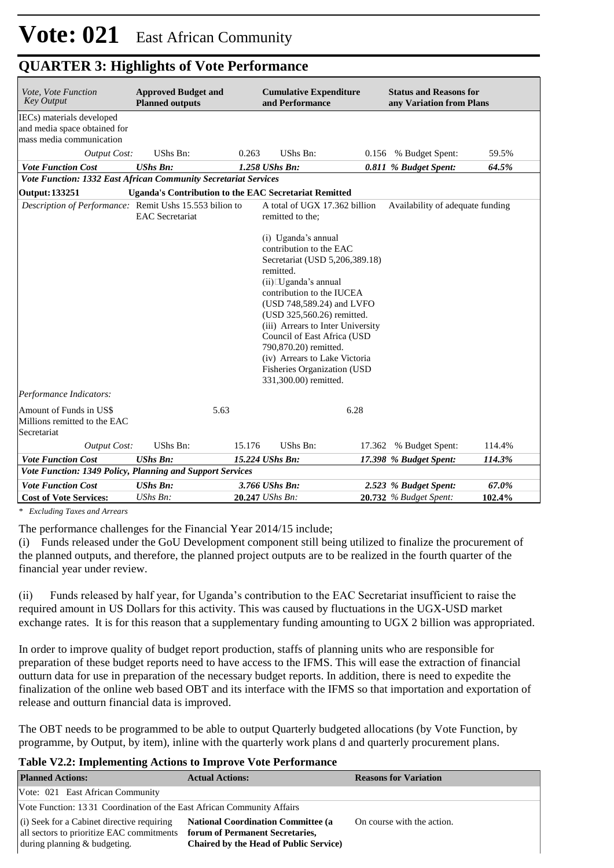| Vote, Vote Function<br><b>Key Output</b>                                              | <b>Approved Budget and</b><br><b>Planned outputs</b>         |        | <b>Cumulative Expenditure</b><br>and Performance                                                                                                                                                                                                                                                                                                                                                             |        | <b>Status and Reasons for</b><br>any Variation from Plans |        |
|---------------------------------------------------------------------------------------|--------------------------------------------------------------|--------|--------------------------------------------------------------------------------------------------------------------------------------------------------------------------------------------------------------------------------------------------------------------------------------------------------------------------------------------------------------------------------------------------------------|--------|-----------------------------------------------------------|--------|
| IECs) materials developed<br>and media space obtained for<br>mass media communication |                                                              |        |                                                                                                                                                                                                                                                                                                                                                                                                              |        |                                                           |        |
| <b>Output Cost:</b>                                                                   | UShs Bn:                                                     | 0.263  | UShs Bn:                                                                                                                                                                                                                                                                                                                                                                                                     |        | 0.156 % Budget Spent:                                     | 59.5%  |
| <b>Vote Function Cost</b>                                                             | <b>UShs Bn:</b>                                              |        | 1.258 UShs Bn:                                                                                                                                                                                                                                                                                                                                                                                               |        | 0.811 % Budget Spent:                                     | 64.5%  |
| Vote Function: 1332 East African Community Secretariat Services                       |                                                              |        |                                                                                                                                                                                                                                                                                                                                                                                                              |        |                                                           |        |
| <b>Output: 133251</b>                                                                 | <b>Uganda's Contribution to the EAC Secretariat Remitted</b> |        |                                                                                                                                                                                                                                                                                                                                                                                                              |        |                                                           |        |
| Description of Performance: Remit Ushs 15.553 bilion to                               | <b>EAC</b> Secretariat                                       |        | A total of UGX 17.362 billion<br>remitted to the;                                                                                                                                                                                                                                                                                                                                                            |        | Availability of adequate funding                          |        |
|                                                                                       |                                                              |        | (i) Uganda's annual<br>contribution to the EAC<br>Secretariat (USD 5,206,389.18)<br>remitted.<br>$(ii)$ $\Box$ Uganda's annual<br>contribution to the IUCEA<br>(USD 748,589.24) and LVFO<br>(USD 325,560.26) remitted.<br>(iii) Arrears to Inter University<br>Council of East Africa (USD<br>790,870.20) remitted.<br>(iv) Arrears to Lake Victoria<br>Fisheries Organization (USD<br>331,300.00) remitted. |        |                                                           |        |
| Performance Indicators:                                                               |                                                              |        |                                                                                                                                                                                                                                                                                                                                                                                                              |        |                                                           |        |
| Amount of Funds in US\$<br>Millions remitted to the EAC<br>Secretariat                | 5.63                                                         |        | 6.28                                                                                                                                                                                                                                                                                                                                                                                                         |        |                                                           |        |
| <b>Output Cost:</b>                                                                   | <b>UShs Bn:</b>                                              | 15.176 | <b>UShs Bn:</b>                                                                                                                                                                                                                                                                                                                                                                                              | 17.362 | % Budget Spent:                                           | 114.4% |
| <b>Vote Function Cost</b>                                                             | <b>UShs Bn:</b>                                              |        | 15.224 UShs Bn:                                                                                                                                                                                                                                                                                                                                                                                              |        | 17.398 % Budget Spent:                                    | 114.3% |
| Vote Function: 1349 Policy, Planning and Support Services                             |                                                              |        |                                                                                                                                                                                                                                                                                                                                                                                                              |        |                                                           |        |
| <b>Vote Function Cost</b>                                                             | <b>UShs Bn:</b>                                              |        | 3.766 UShs Bn:                                                                                                                                                                                                                                                                                                                                                                                               |        | 2.523 % Budget Spent:                                     | 67.0%  |
| <b>Cost of Vote Services:</b>                                                         | UShs Bn:                                                     |        | 20.247 UShs Bn:                                                                                                                                                                                                                                                                                                                                                                                              |        | 20.732 % Budget Spent:                                    | 102.4% |

*\* Excluding Taxes and Arrears*

The performance challenges for the Financial Year 2014/15 include;

(i) Funds released under the GoU Development component still being utilized to finalize the procurement of the planned outputs, and therefore, the planned project outputs are to be realized in the fourth quarter of the financial year under review.

(ii) Funds released by half year, for Uganda's contribution to the EAC Secretariat insufficient to raise the required amount in US Dollars for this activity. This was caused by fluctuations in the UGX-USD market exchange rates. It is for this reason that a supplementary funding amounting to UGX 2 billion was appropriated.

In order to improve quality of budget report production, staffs of planning units who are responsible for preparation of these budget reports need to have access to the IFMS. This will ease the extraction of financial outturn data for use in preparation of the necessary budget reports. In addition, there is need to expedite the finalization of the online web based OBT and its interface with the IFMS so that importation and exportation of release and outturn financial data is improved.

The OBT needs to be programmed to be able to output Quarterly budgeted allocations (by Vote Function, by programme, by Output, by item), inline with the quarterly work plans d and quarterly procurement plans.

#### **Table V2.2: Implementing Actions to Improve Vote Performance**

| <b>Planned Actions:</b>                                                | <b>Actual Actions:</b>                         | <b>Reasons for Variation</b> |
|------------------------------------------------------------------------|------------------------------------------------|------------------------------|
| Vote: 021 East African Community                                       |                                                |                              |
| Vote Function: 1331 Coordination of the East African Community Affairs |                                                |                              |
| $(i)$ Seek for a Cabinet directive requiring                           | <b>National Coordination Committee (a)</b>     | On course with the action.   |
| all sectors to prioritize EAC commitments                              | forum of Permanent Secretaries,                |                              |
| during planning & budgeting.                                           | <b>Chaired by the Head of Public Service</b> ) |                              |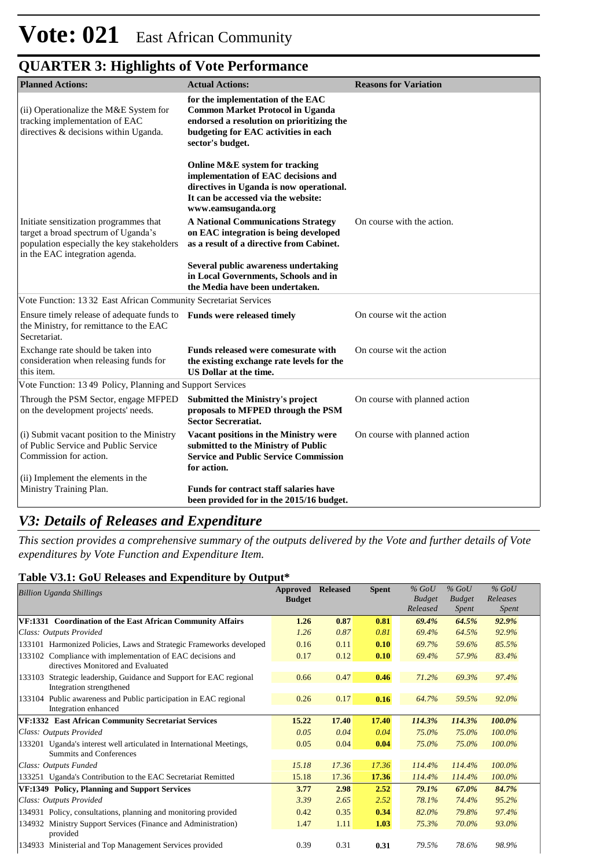| <b>Planned Actions:</b>                                                                                                                                       | <b>Actual Actions:</b>                                                                                                                                                                                                                                                                                                                                   | <b>Reasons for Variation</b>  |
|---------------------------------------------------------------------------------------------------------------------------------------------------------------|----------------------------------------------------------------------------------------------------------------------------------------------------------------------------------------------------------------------------------------------------------------------------------------------------------------------------------------------------------|-------------------------------|
| (ii) Operationalize the M&E System for<br>tracking implementation of EAC<br>directives & decisions within Uganda.                                             | for the implementation of the EAC<br><b>Common Market Protocol in Uganda</b><br>endorsed a resolution on prioritizing the<br>budgeting for EAC activities in each<br>sector's budget.                                                                                                                                                                    |                               |
| Initiate sensitization programmes that<br>target a broad spectrum of Uganda's<br>population especially the key stakeholders<br>in the EAC integration agenda. | Online M&E system for tracking<br>implementation of EAC decisions and<br>directives in Uganda is now operational.<br>It can be accessed via the website:<br>www.eamsuganda.org<br><b>A National Communications Strategy</b><br>on EAC integration is being developed<br>as a result of a directive from Cabinet.<br>Several public awareness undertaking | On course with the action.    |
|                                                                                                                                                               | in Local Governments, Schools and in<br>the Media have been undertaken.                                                                                                                                                                                                                                                                                  |                               |
| Vote Function: 1332 East African Community Secretariat Services                                                                                               |                                                                                                                                                                                                                                                                                                                                                          |                               |
| Ensure timely release of adequate funds to<br>the Ministry, for remittance to the EAC<br>Secretariat.                                                         | <b>Funds were released timely</b>                                                                                                                                                                                                                                                                                                                        | On course wit the action      |
| Exchange rate should be taken into<br>consideration when releasing funds for<br>this item.                                                                    | Funds released were comesurate with<br>the existing exchange rate levels for the<br>US Dollar at the time.                                                                                                                                                                                                                                               | On course wit the action      |
| Vote Function: 1349 Policy, Planning and Support Services                                                                                                     |                                                                                                                                                                                                                                                                                                                                                          |                               |
| Through the PSM Sector, engage MFPED<br>on the development projects' needs.                                                                                   | <b>Submitted the Ministry's project</b><br>proposals to MFPED through the PSM<br><b>Sector Secreratiat.</b>                                                                                                                                                                                                                                              | On course with planned action |
| (i) Submit vacant position to the Ministry<br>of Public Service and Public Service<br>Commission for action.                                                  | Vacant positions in the Ministry were<br>submitted to the Ministry of Public<br><b>Service and Public Service Commission</b><br>for action.                                                                                                                                                                                                              | On course with planned action |
| (ii) Implement the elements in the<br>Ministry Training Plan.                                                                                                 | <b>Funds for contract staff salaries have</b><br>been provided for in the 2015/16 budget.                                                                                                                                                                                                                                                                |                               |

### *V3: Details of Releases and Expenditure*

*This section provides a comprehensive summary of the outputs delivered by the Vote and further details of Vote expenditures by Vote Function and Expenditure Item.*

#### **Table V3.1: GoU Releases and Expenditure by Output\***

| <b>Billion Uganda Shillings</b>                                       | Approved      | <b>Released</b> | <b>Spent</b> | $%$ GoU       | $%$ GoU       | $%$ GoU      |  |
|-----------------------------------------------------------------------|---------------|-----------------|--------------|---------------|---------------|--------------|--|
|                                                                       | <b>Budget</b> |                 |              | <b>Budget</b> | <b>Budget</b> | Releases     |  |
|                                                                       |               |                 |              | Released      | Spent         | <i>Spent</i> |  |
| VF:1331 Coordination of the East African Community Affairs            | 1.26          | 0.87            | 0.81         | 69.4%         | 64.5%         | 92.9%        |  |
| Class: Outputs Provided                                               | 1.26          | 0.87            | 0.81         | 69.4%         | 64.5%         | 92.9%        |  |
| 133101 Harmonized Policies, Laws and Strategic Frameworks developed   | 0.16          | 0.11            | 0.10         | 69.7%         | 59.6%         | 85.5%        |  |
| 133102 Compliance with implementation of EAC decisions and            | 0.17          | 0.12            | 0.10         | 69.4%         | 57.9%         | 83.4%        |  |
| directives Monitored and Evaluated                                    |               |                 |              |               |               |              |  |
| Strategic leadership, Guidance and Support for EAC regional<br>133103 | 0.66          | 0.47            | 0.46         | 71.2%         | 69.3%         | 97.4%        |  |
| Integration strengthened                                              |               |                 |              |               |               |              |  |
| 133104 Public awareness and Public participation in EAC regional      | 0.26          | 0.17            | 0.16         | 64.7%         | 59.5%         | 92.0%        |  |
| Integration enhanced                                                  |               |                 |              |               |               |              |  |
| <b>VF:1332 East African Community Secretariat Services</b>            | 15.22         | 17.40           | 17.40        | 114.3%        | 114.3%        | 100.0%       |  |
| Class: Outputs Provided                                               | 0.05          | 0.04            | 0.04         | 75.0%         | 75.0%         | 100.0%       |  |
| 133201 Uganda's interest well articulated in International Meetings,  | 0.05          | 0.04            | 0.04         | 75.0%         | 75.0%         | 100.0%       |  |
| <b>Summits and Conferences</b>                                        |               |                 |              |               |               |              |  |
| Class: Outputs Funded                                                 | 15.18         | 17.36           | 17.36        | 114.4%        | 114.4%        | 100.0%       |  |
| 133251 Uganda's Contribution to the EAC Secretariat Remitted          | 15.18         | 17.36           | 17.36        | 114.4%        | 114.4%        | 100.0%       |  |
| VF:1349 Policy, Planning and Support Services                         | 3.77          | 2.98            | 2.52         | 79.1%         | 67.0%         | 84.7%        |  |
| Class: Outputs Provided                                               | 3.39          | 2.65            | 2.52         | 78.1%         | 74.4%         | 95.2%        |  |
| 134931 Policy, consultations, planning and monitoring provided        | 0.42          | 0.35            | 0.34         | 82.0%         | 79.8%         | 97.4%        |  |
| Ministry Support Services (Finance and Administration)<br>134932      | 1.47          | 1.11            | 1.03         | 75.3%         | 70.0%         | 93.0%        |  |
| provided                                                              |               |                 |              |               |               |              |  |
| 134933 Ministerial and Top Management Services provided               | 0.39          | 0.31            | 0.31         | 79.5%         | 78.6%         | 98.9%        |  |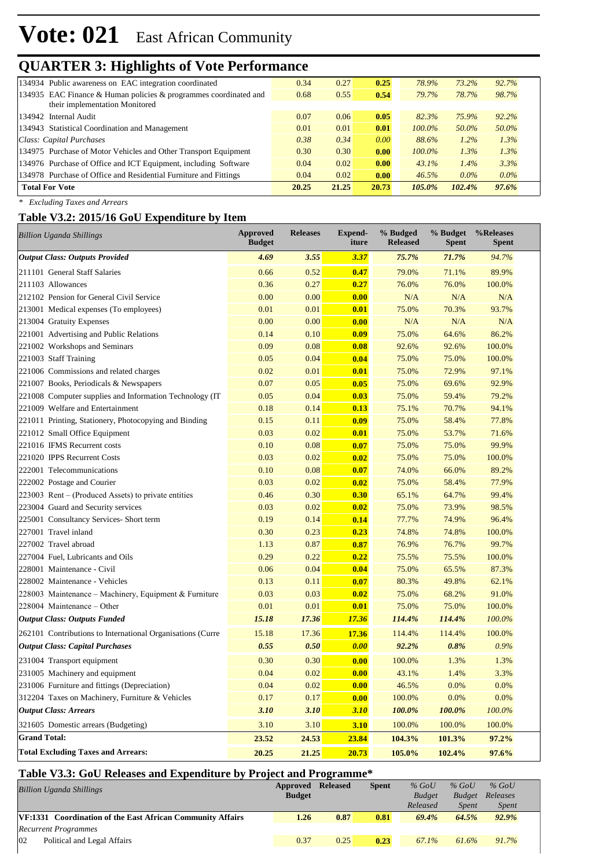## **QUARTER 3: Highlights of Vote Performance**

| 134934 Public awareness on EAC integration coordinated              | 0.34  | 0.27  | 0.25  | 78.9%     | 73.2%   | 92.7%   |
|---------------------------------------------------------------------|-------|-------|-------|-----------|---------|---------|
| 134935 EAC Finance & Human policies $\&$ programmes coordinated and | 0.68  | 0.55  | 0.54  | 79.7%     | 78.7%   | 98.7%   |
| their implementation Monitored                                      |       |       |       |           |         |         |
| 134942 Internal Audit                                               | 0.07  | 0.06  | 0.05  | 82.3%     | 75.9%   | 92.2%   |
| 134943 Statistical Coordination and Management                      | 0.01  | 0.01  | 0.01  | $100.0\%$ | 50.0%   | 50.0%   |
| Class: Capital Purchases                                            | 0.38  | 0.34  | 0.00  | 88.6%     | 1.2%    | 1.3%    |
| 134975 Purchase of Motor Vehicles and Other Transport Equipment     | 0.30  | 0.30  | 0.00  | $100.0\%$ | 1.3%    | 1.3%    |
| 134976 Purchase of Office and ICT Equipment, including Software     | 0.04  | 0.02  | 0.00  | 43.1%     | 1.4%    | 3.3%    |
| 134978 Purchase of Office and Residential Furniture and Fittings    | 0.04  | 0.02  | 0.00  | 46.5%     | $0.0\%$ | $0.0\%$ |
| <b>Total For Vote</b>                                               | 20.25 | 21.25 | 20.73 | $105.0\%$ | 102.4%  | 97.6%   |

*\* Excluding Taxes and Arrears*

#### **Table V3.2: 2015/16 GoU Expenditure by Item**

| <b>Billion Uganda Shillings</b>                            | Approved<br><b>Budget</b> | <b>Releases</b> | <b>Expend-</b><br>iture | % Budged<br><b>Released</b> | % Budget<br><b>Spent</b> | %Releases<br><b>Spent</b> |
|------------------------------------------------------------|---------------------------|-----------------|-------------------------|-----------------------------|--------------------------|---------------------------|
| <b>Output Class: Outputs Provided</b>                      | 4.69                      | 3.55            | 3.37                    | 75.7%                       | 71.7%                    | 94.7%                     |
| 211101 General Staff Salaries                              | 0.66                      | 0.52            | 0.47                    | 79.0%                       | 71.1%                    | 89.9%                     |
| 211103 Allowances                                          | 0.36                      | 0.27            | 0.27                    | 76.0%                       | 76.0%                    | 100.0%                    |
| 212102 Pension for General Civil Service                   | 0.00                      | 0.00            | 0.00                    | N/A                         | N/A                      | N/A                       |
| 213001 Medical expenses (To employees)                     | 0.01                      | 0.01            | 0.01                    | 75.0%                       | 70.3%                    | 93.7%                     |
| 213004 Gratuity Expenses                                   | 0.00                      | 0.00            | 0.00                    | N/A                         | N/A                      | N/A                       |
| 221001 Advertising and Public Relations                    | 0.14                      | 0.10            | 0.09                    | 75.0%                       | 64.6%                    | 86.2%                     |
| 221002 Workshops and Seminars                              | 0.09                      | 0.08            | 0.08                    | 92.6%                       | 92.6%                    | 100.0%                    |
| 221003 Staff Training                                      | 0.05                      | 0.04            | 0.04                    | 75.0%                       | 75.0%                    | 100.0%                    |
| 221006 Commissions and related charges                     | 0.02                      | 0.01            | 0.01                    | 75.0%                       | 72.9%                    | 97.1%                     |
| 221007 Books, Periodicals & Newspapers                     | 0.07                      | 0.05            | 0.05                    | 75.0%                       | 69.6%                    | 92.9%                     |
| 221008 Computer supplies and Information Technology (IT    | 0.05                      | 0.04            | 0.03                    | 75.0%                       | 59.4%                    | 79.2%                     |
| 221009 Welfare and Entertainment                           | 0.18                      | 0.14            | 0.13                    | 75.1%                       | 70.7%                    | 94.1%                     |
| 221011 Printing, Stationery, Photocopying and Binding      | 0.15                      | 0.11            | 0.09                    | 75.0%                       | 58.4%                    | 77.8%                     |
| 221012 Small Office Equipment                              | 0.03                      | 0.02            | 0.01                    | 75.0%                       | 53.7%                    | 71.6%                     |
| 221016 IFMS Recurrent costs                                | 0.10                      | 0.08            | 0.07                    | 75.0%                       | 75.0%                    | 99.9%                     |
| 221020 IPPS Recurrent Costs                                | 0.03                      | 0.02            | 0.02                    | 75.0%                       | 75.0%                    | 100.0%                    |
| 222001 Telecommunications                                  | 0.10                      | 0.08            | 0.07                    | 74.0%                       | 66.0%                    | 89.2%                     |
| 222002 Postage and Courier                                 | 0.03                      | 0.02            | 0.02                    | 75.0%                       | 58.4%                    | 77.9%                     |
| 223003 Rent – (Produced Assets) to private entities        | 0.46                      | 0.30            | 0.30                    | 65.1%                       | 64.7%                    | 99.4%                     |
| 223004 Guard and Security services                         | 0.03                      | 0.02            | 0.02                    | 75.0%                       | 73.9%                    | 98.5%                     |
| 225001 Consultancy Services- Short term                    | 0.19                      | 0.14            | 0.14                    | 77.7%                       | 74.9%                    | 96.4%                     |
| 227001 Travel inland                                       | 0.30                      | 0.23            | 0.23                    | 74.8%                       | 74.8%                    | 100.0%                    |
| 227002 Travel abroad                                       | 1.13                      | 0.87            | 0.87                    | 76.9%                       | 76.7%                    | 99.7%                     |
| 227004 Fuel, Lubricants and Oils                           | 0.29                      | 0.22            | 0.22                    | 75.5%                       | 75.5%                    | 100.0%                    |
| 228001 Maintenance - Civil                                 | 0.06                      | 0.04            | 0.04                    | 75.0%                       | 65.5%                    | 87.3%                     |
| 228002 Maintenance - Vehicles                              | 0.13                      | 0.11            | 0.07                    | 80.3%                       | 49.8%                    | 62.1%                     |
| 228003 Maintenance – Machinery, Equipment & Furniture      | 0.03                      | 0.03            | 0.02                    | 75.0%                       | 68.2%                    | 91.0%                     |
| 228004 Maintenance - Other                                 | 0.01                      | 0.01            | 0.01                    | 75.0%                       | 75.0%                    | 100.0%                    |
| <b>Output Class: Outputs Funded</b>                        | 15.18                     | 17.36           | 17.36                   | 114.4%                      | 114.4%                   | 100.0%                    |
| 262101 Contributions to International Organisations (Curre | 15.18                     | 17.36           | 17.36                   | 114.4%                      | 114.4%                   | 100.0%                    |
| <b>Output Class: Capital Purchases</b>                     | 0.55                      | 0.50            | 0.00                    | 92.2%                       | 0.8%                     | 0.9%                      |
| 231004 Transport equipment                                 | 0.30                      | 0.30            | 0.00                    | 100.0%                      | 1.3%                     | 1.3%                      |
| 231005 Machinery and equipment                             | 0.04                      | 0.02            | 0.00                    | 43.1%                       | 1.4%                     | 3.3%                      |
| 231006 Furniture and fittings (Depreciation)               | 0.04                      | 0.02            | 0.00                    | 46.5%                       | 0.0%                     | 0.0%                      |
| 312204 Taxes on Machinery, Furniture & Vehicles            | 0.17                      | 0.17            | 0.00                    | 100.0%                      | 0.0%                     | 0.0%                      |
| <b>Output Class: Arrears</b>                               | 3.10                      | 3.10            | 3.10                    | 100.0%                      | 100.0%                   | 100.0%                    |
| 321605 Domestic arrears (Budgeting)                        | 3.10                      | 3.10            | 3.10                    | 100.0%                      | 100.0%                   | 100.0%                    |
| <b>Grand Total:</b>                                        | 23.52                     | 24.53           | 23.84                   | 104.3%                      | 101.3%                   | 97.2%                     |
| <b>Total Excluding Taxes and Arrears:</b>                  | 20.25                     | 21.25           | 20.73                   | 105.0%                      | 102.4%                   | 97.6%                     |

#### **Table V3.3: GoU Releases and Expenditure by Project and Programme\***

| <b>Billion Uganda Shillings</b>                            | Approved<br><b>Budget</b> | <b>Released</b> | <b>Spent</b> | $%$ GoU<br><b>Budget</b> | $%$ GoU<br><b>Budget</b> | $%$ GoU<br>Releases |
|------------------------------------------------------------|---------------------------|-----------------|--------------|--------------------------|--------------------------|---------------------|
|                                                            |                           |                 |              | Released                 | <i>Spent</i>             | <i>Spent</i>        |
| VF:1331 Coordination of the East African Community Affairs | 1.26                      | 0.87            | 0.81         | 69.4%                    | 64.5%                    | 92.9%               |
| <b>Recurrent Programmes</b>                                |                           |                 |              |                          |                          |                     |
| 02<br>Political and Legal Affairs                          | 0.37                      | 0.25            | 0.23         | 67.1%                    | 61.6%                    | 91.7%               |